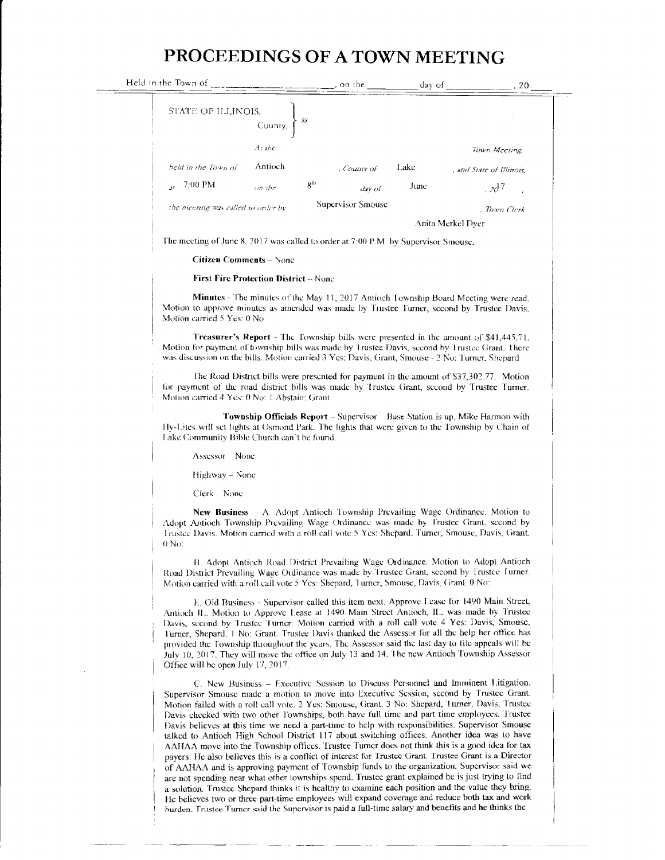## PROCEEDINGS OF A TOWN MEETING

| Held in the Town of                                      | , on the          | day of            | . 20                     |  |
|----------------------------------------------------------|-------------------|-------------------|--------------------------|--|
| STATE OF ILLINOIS,<br>-55.<br>County,                    |                   |                   |                          |  |
| At the                                                   |                   |                   | Town Meeting,            |  |
| <b>Antioch</b><br>held in the Town of                    | , County of       | Lake              | , and State of Illinois. |  |
| 8 <sup>th</sup><br>7:00 PM<br>$on$ the<br>$\overline{H}$ | dav of            | June              | 20 <sup>7</sup>          |  |
| the meeting was called to order by                       | Supervisor Smouse |                   | . Town Clerk.            |  |
|                                                          |                   | Anita Merkel Dyer |                          |  |
|                                                          |                   |                   |                          |  |

The meeting of June 8, 2017 was called to order at 7:00 P.M. by Supervisor Smouse.

## **Citizen Comments - None**

## **First Fire Protection District -- None**

Minutes - The minutes of the May 11, 2017 Antioch Township Board Meeting were read. Motion to approve minutes as amended was made by Trustee Turner, second by Trustee Davis. Motion carried 5 Yes: 0 No

Treasurer's Report - The Township bills were presented in the amount of \$41,445.71. Motion for payment of township bills was made by Trustee Davis, second by Trustee Grant. There was discussion on the bills. Motion carried 3 Yes: Davis, Grant, Smouse - 2 No: Turner, Shepard

The Road District bills were presented for payment in the amount of \$37,302.77. Motion for payment of the road district bills was made by Trustee Grant, second by Trustee Turner. Motion carried 4 Yes: 0 No: 1 Abstain: Grant

**Township Officials Report** – Supervisor Base Station is up, Mike Harmon with Hy-Lites will set lights at Osmond Park. The lights that were given to the Township by Chain of Lake Community Bible Church can't be found.

Assessor None

Highway - None

Clerk None

New Business - A. Adopt Antioch Township Prevailing Wage Ordinance. Motion to Adopt Antioch Township Prevailing Wage Ordinance was made by Trustee Grant, second by Trustee Davis. Motion carried with a roll call vote 5 Yes: Shepard, Turner, Smouse, Davis, Grant.  $0$  No:

B. Adopt Antioch Road District Prevailing Wage Ordinance. Motion to Adopt Antioch Road District Prevailing Wage Ordinance was made by Trustee Grant, second by Trustee Turner. Motion carried with a roll call vote 5 Yes: Shepard, Turner, Smouse, Davis, Grant. 0 No:

E. Old Business - Supervisor called this item next. Approve Lease for 1490 Main Street, Antioch IL. Motion to Approve Lease at 1490 Main Street Antioch, IL. was made by Trustee Davis, second by Trustee Turner. Motion carried with a roll call vote 4 Yes: Davis, Smouse, Turner, Shepard. 1 No: Grant. Trustee Davis thanked the Assessor for all the help her office has provided the Township throughout the years. The Assessor said the last day to file appeals will be July 10, 2017. They will move the office on July 13 and 14. The new Antioch Township Assessor Office will be open July 17, 2017.

C. New Business - Executive Session to Discuss Personnel and Imminent Litigation. Supervisor Smouse made a motion to move into Executive Session, second by Trustee Grant. Motion failed with a roll call vote. 2 Yes: Smouse, Grant. 3 No: Shepard, Turner, Davis. Trustee Davis checked with two other Townships, both have full time and part time employees. Trustee Davis believes at this time we need a part-time to help with responsibilities. Supervisor Smouse talked to Antioch High School District 117 about switching offices. Another idea was to have AAHAA move into the Township offices. Trustee Turner does not think this is a good idea for tax payers. He also believes this is a conflict of interest for Trustee Grant. Trustee Grant is a Director of AAHAA and is approving payment of Township funds to the organization. Supervisor said we are not spending near what other townships spend. Trustee grant explained he is just trying to find a solution. Trustee Shepard thinks it is healthy to examine each position and the value they bring. He believes two or three part-time employees will expand coverage and reduce both tax and work burden. Trustee Turner said the Supervisor is paid a full-time salary and benefits and he thinks the